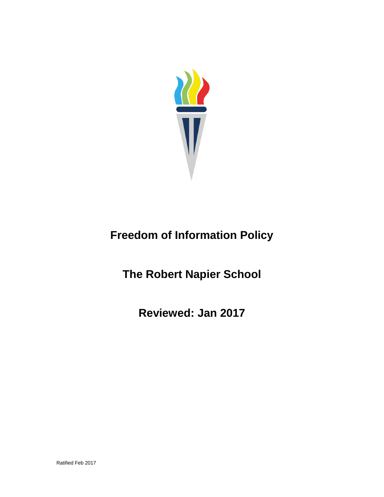

# **Freedom of Information Policy**

**The Robert Napier School**

**Reviewed: Jan 2017**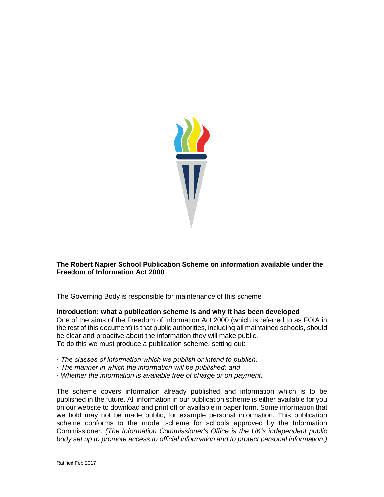

## **The Robert Napier School Publication Scheme on information available under the Freedom of Information Act 2000**

The Governing Body is responsible for maintenance of this scheme

#### **Introduction: what a publication scheme is and why it has been developed**

One of the aims of the Freedom of Information Act 2000 (which is referred to as FOIA in the rest of this document) is that public authorities, including all maintained schools, should be clear and proactive about the information they will make public. To do this we must produce a publication scheme, setting out:

- · *The classes of information which we publish or intend to publish;*
- · *The manner in which the information will be published; and*
- · *Whether the information is available free of charge or on payment.*

The scheme covers information already published and information which is to be published in the future. All information in our publication scheme is either available for you on our website to download and print off or available in paper form. Some information that we hold may not be made public, for example personal information. This publication scheme conforms to the model scheme for schools approved by the Information Commissioner. *(The Information Commissioner's Office is the UK's independent public body set up to promote access to official information and to protect personal information.)*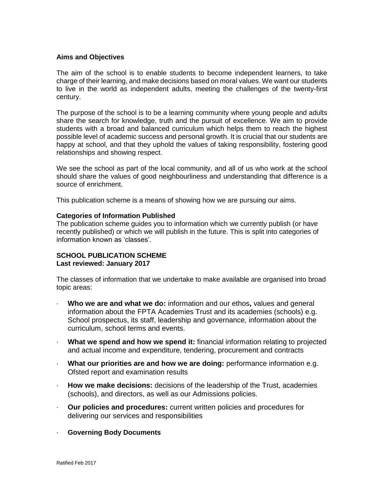#### **Aims and Objectives**

The aim of the school is to enable students to become independent learners, to take charge of their learning, and make decisions based on moral values. We want our students to live in the world as independent adults, meeting the challenges of the twenty-first century.

The purpose of the school is to be a learning community where young people and adults share the search for knowledge, truth and the pursuit of excellence. We aim to provide students with a broad and balanced curriculum which helps them to reach the highest possible level of academic success and personal growth. It is crucial that our students are happy at school, and that they uphold the values of taking responsibility, fostering good relationships and showing respect.

We see the school as part of the local community, and all of us who work at the school should share the values of good neighbourliness and understanding that difference is a source of enrichment.

This publication scheme is a means of showing how we are pursuing our aims.

#### **Categories of Information Published**

The publication scheme guides you to information which we currently publish (or have recently published) or which we will publish in the future. This is split into categories of information known as 'classes'.

# **SCHOOL PUBLICATION SCHEME Last reviewed: January 2017**

The classes of information that we undertake to make available are organised into broad topic areas:

- · **Who we are and what we do:** information and our ethos**,** values and general information about the FPTA Academies Trust and its academies (schools) e.g. School prospectus, its staff, leadership and governance, information about the curriculum, school terms and events.
- · **What we spend and how we spend it:** financial information relating to projected and actual income and expenditure, tendering, procurement and contracts
- · **What our priorities are and how we are doing:** performance information e.g. Ofsted report and examination results
- · **How we make decisions:** decisions of the leadership of the Trust, academies (schools), and directors, as well as our Admissions policies.
- · **Our policies and procedures:** current written policies and procedures for delivering our services and responsibilities
- · **Governing Body Documents**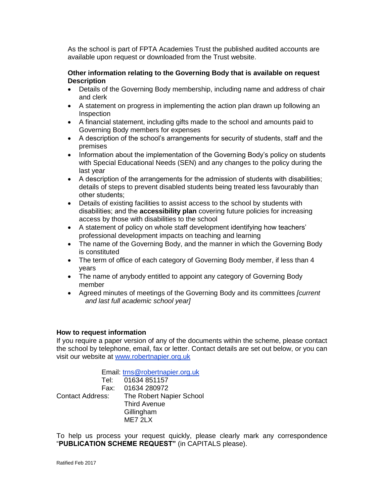As the school is part of FPTA Academies Trust the published audited accounts are available upon request or downloaded from the Trust website.

#### **Other information relating to the Governing Body that is available on request Description**

- Details of the Governing Body membership, including name and address of chair and clerk
- A statement on progress in implementing the action plan drawn up following an Inspection
- A financial statement, including gifts made to the school and amounts paid to Governing Body members for expenses
- A description of the school's arrangements for security of students, staff and the premises
- Information about the implementation of the Governing Body's policy on students with Special Educational Needs (SEN) and any changes to the policy during the last year
- A description of the arrangements for the admission of students with disabilities; details of steps to prevent disabled students being treated less favourably than other students;
- Details of existing facilities to assist access to the school by students with disabilities; and the **accessibility plan** covering future policies for increasing access by those with disabilities to the school
- A statement of policy on whole staff development identifying how teachers' professional development impacts on teaching and learning
- The name of the Governing Body, and the manner in which the Governing Body is constituted
- The term of office of each category of Governing Body member, if less than 4 years
- The name of anybody entitled to appoint any category of Governing Body member
- Agreed minutes of meetings of the Governing Body and its committees *[current and last full academic school year]*

## **How to request information**

If you require a paper version of any of the documents within the scheme, please contact the school by telephone, email, fax or letter. Contact details are set out below, or you can visit our website at [www.robertnapier.org.uk](http://www.robertnapier.org.uk/)

Email: [trns@robertnapier.org.uk](mailto:trns@robertnapier.org.uk) Tel: 01634 851157 Fax: 01634 280972 Contact Address: The Robert Napier School Third Avenue **Gillingham** MF7 2LX

To help us process your request quickly, please clearly mark any correspondence "**PUBLICATION SCHEME REQUEST"** (in CAPITALS please).